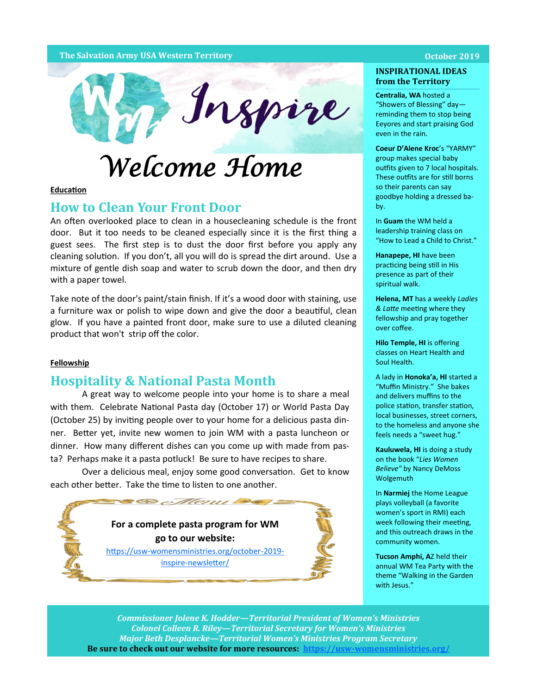### **The Salvation Army USA Western Territory October 2019**



### **Education**

# **How to Clean Your Front Door**

An often overlooked place to clean in a housecleaning schedule is the front door. But it too needs to be cleaned especially since it is the first thing a guest sees. The first step is to dust the door first before you apply any cleaning solution. If you don't, all you will do is spread the dirt around. Use a mixture of gentle dish soap and water to scrub down the door, and then dry with a paper towel.

Take note of the door's paint/stain finish. If it's a wood door with staining, use a furniture wax or polish to wipe down and give the door a beautiful, clean glow. If you have a painted front door, make sure to use a diluted cleaning product that won't strip off the color.

### **Fellowship**

## **Hospitality & National Pasta Month**

A great way to welcome people into your home is to share a meal with them. Celebrate National Pasta day (October 17) or World Pasta Day (October 25) by inviting people over to your home for a delicious pasta dinner. Better yet, invite new women to join WM with a pasta luncheon or dinner. How many different dishes can you come up with made from pasta? Perhaps make it a pasta potluck! Be sure to have recipes to share.

Over a delicious meal, enjoy some good conversation. Get to know each other better. Take the time to listen to one another.

> **For a complete pasta program for WM go to our website:**

Menu

https://usw-[womensministries.org/october](https://usw-womensministries.org/october-2019-inspire-newsletter/)-2019 inspire-[newsletter/](https://usw-womensministries.org/october-2019-inspire-newsletter/)



## **INSPIRATIONAL IDEAS from the Territory**

**Centralia, WA** hosted a "Showers of Blessing" day reminding them to stop being Eeyores and start praising God even in the rain.

**Coeur D'Alene Kroc**'s "YARMY" group makes special baby outfits given to 7 local hospitals. These outfits are for still borns so their parents can say goodbye holding a dressed baby.

In **Guam** the WM held a leadership training class on "How to Lead a Child to Christ."

**Hanapepe, HI** have been practicing being still in His presence as part of their spiritual walk.

**Helena, MT** has a weekly *Ladies & Latte* meeting where they fellowship and pray together over coffee.

**Hilo Temple, HI** is offering classes on Heart Health and Soul Health.

A lady in **Honoka'a, HI** started a "Muffin Ministry." She bakes and delivers muffins to the police station, transfer station, local businesses, street corners, to the homeless and anyone she feels needs a "sweet hug."

**Kauluwela, HI** is doing a study on the book "*Lies Women Believe"* by Nancy DeMoss Wolgemuth

In **Narmiej** the Home League plays volleyball (a favorite women's sport in RMI) each week following their meeting, and this outreach draws in the community women.

**Tucson Amphi, A**Z held their annual WM Tea Party with the theme "Walking in the Garden with Jesus."

*Commissioner Jolene K. Hodder—Territorial President of Women's Ministries Colonel Colleen R. Riley—Territorial Secretary for Women's Ministries Major Beth Desplancke—Territorial Women's Ministries Program Secretary* **Be sure to check out our website for more resources: https://usw-[womensministries.org/](https://usw-womensministries.org/)**